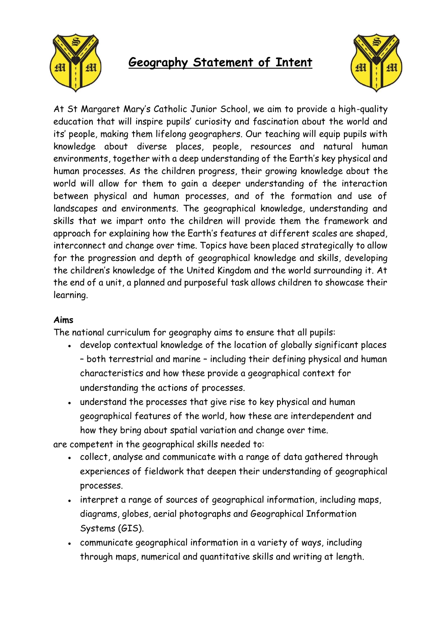

## **Geography Statement of Intent**



At St Margaret Mary's Catholic Junior School, we aim to provide a high-quality education that will inspire pupils' curiosity and fascination about the world and its' people, making them lifelong geographers. Our teaching will equip pupils with knowledge about diverse places, people, resources and natural human environments, together with a deep understanding of the Earth's key physical and human processes. As the children progress, their growing knowledge about the world will allow for them to gain a deeper understanding of the interaction between physical and human processes, and of the formation and use of landscapes and environments. The geographical knowledge, understanding and skills that we impart onto the children will provide them the framework and approach for explaining how the Earth's features at different scales are shaped, interconnect and change over time. Topics have been placed strategically to allow for the progression and depth of geographical knowledge and skills, developing the children's knowledge of the United Kingdom and the world surrounding it. At the end of a unit, a planned and purposeful task allows children to showcase their learning.

## **Aims**

The national curriculum for geography aims to ensure that all pupils:

- develop contextual knowledge of the location of globally significant places – both terrestrial and marine – including their defining physical and human characteristics and how these provide a geographical context for understanding the actions of processes.
- understand the processes that give rise to key physical and human geographical features of the world, how these are interdependent and how they bring about spatial variation and change over time.

are competent in the geographical skills needed to:

- collect, analyse and communicate with a range of data gathered through experiences of fieldwork that deepen their understanding of geographical processes.
- interpret a range of sources of geographical information, including maps, diagrams, globes, aerial photographs and Geographical Information Systems (GIS).
- communicate geographical information in a variety of ways, including through maps, numerical and quantitative skills and writing at length.